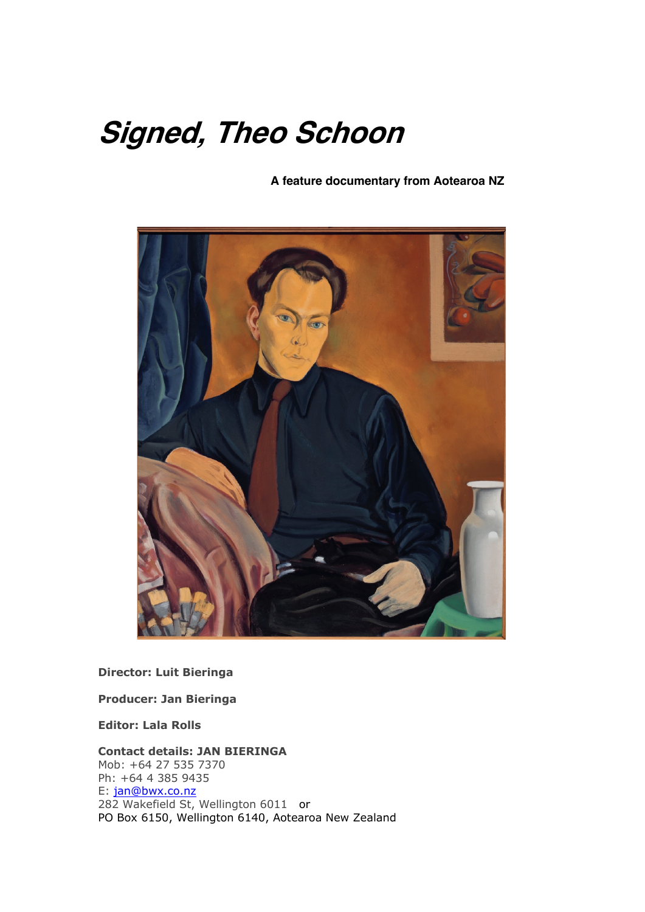# **Signed, Theo Schoon**

 **A feature documentary from Aotearoa NZ**



**Director: Luit Bieringa**

**Producer: Jan Bieringa**

**Editor: Lala Rolls**

#### **Contact details: JAN BIERINGA**

Mob: +64 27 535 7370 Ph: +64 4 385 9435 E: jan@bwx.co.nz 282 Wakefield St, Wellington 6011 or PO Box 6150, Wellington 6140, Aotearoa New Zealand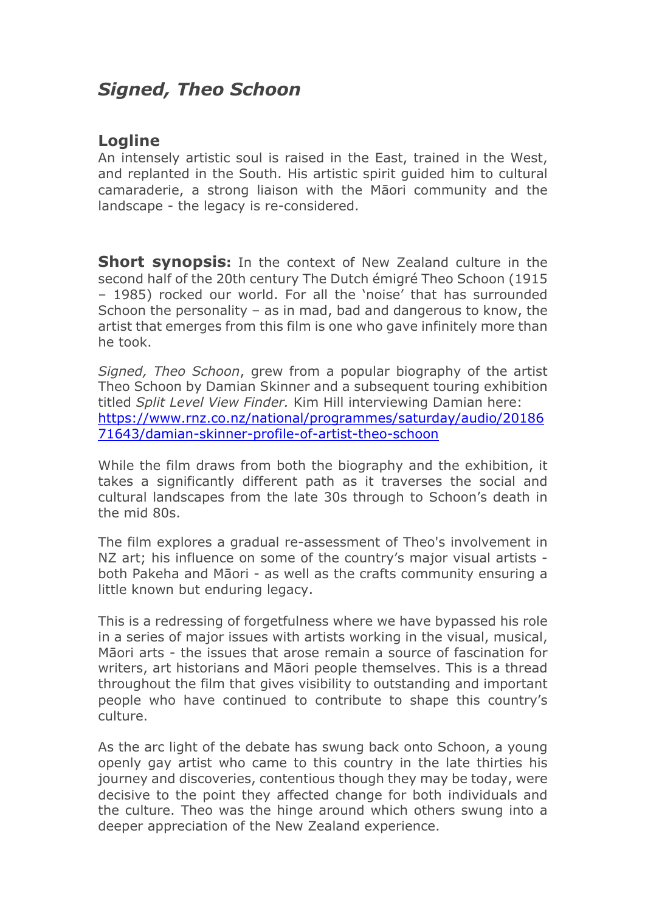# *Signed, Theo Schoon*

### **Logline**

An intensely artistic soul is raised in the East, trained in the West, and replanted in the South. His artistic spirit guided him to cultural camaraderie, a strong liaison with the Māori community and the landscape - the legacy is re-considered.

**Short synopsis:** In the context of New Zealand culture in the second half of the 20th century The Dutch émigré Theo Schoon (1915 – 1985) rocked our world. For all the 'noise' that has surrounded Schoon the personality – as in mad, bad and dangerous to know, the artist that emerges from this film is one who gave infinitely more than he took.

*Signed, Theo Schoon*, grew from a popular biography of the artist Theo Schoon by Damian Skinner and a subsequent touring exhibition titled *Split Level View Finder.* Kim Hill interviewing Damian here: https://www.rnz.co.nz/national/programmes/saturday/audio/20186 71643/damian-skinner-profile-of-artist-theo-schoon

While the film draws from both the biography and the exhibition, it takes a significantly different path as it traverses the social and cultural landscapes from the late 30s through to Schoon's death in the mid 80s.

The film explores a gradual re-assessment of Theo's involvement in NZ art; his influence on some of the country's major visual artists both Pakeha and Māori - as well as the crafts community ensuring a little known but enduring legacy.

This is a redressing of forgetfulness where we have bypassed his role in a series of major issues with artists working in the visual, musical, Māori arts - the issues that arose remain a source of fascination for writers, art historians and Māori people themselves. This is a thread throughout the film that gives visibility to outstanding and important people who have continued to contribute to shape this country's culture.

As the arc light of the debate has swung back onto Schoon, a young openly gay artist who came to this country in the late thirties his journey and discoveries, contentious though they may be today, were decisive to the point they affected change for both individuals and the culture. Theo was the hinge around which others swung into a deeper appreciation of the New Zealand experience.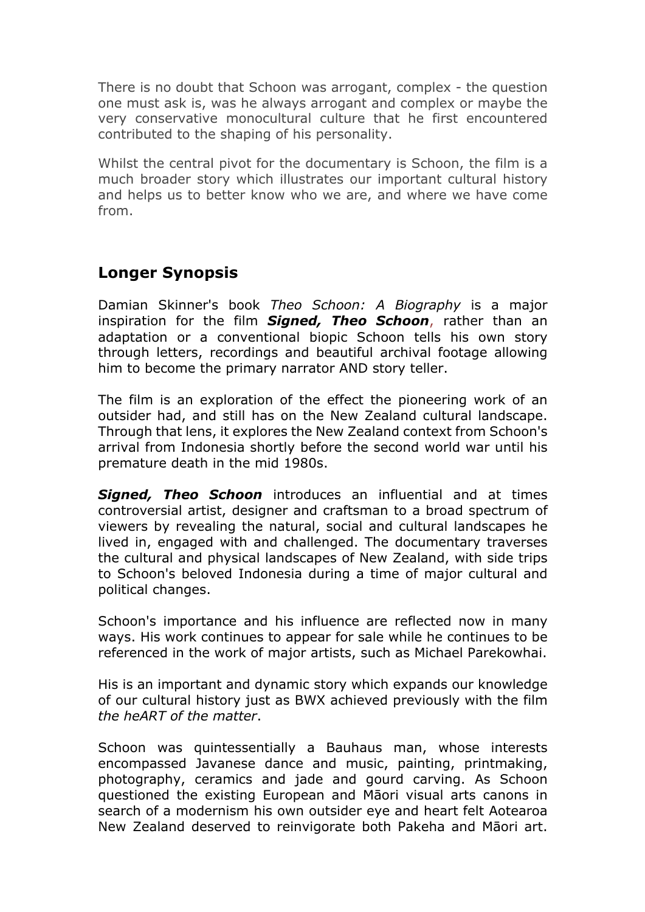There is no doubt that Schoon was arrogant, complex - the question one must ask is, was he always arrogant and complex or maybe the very conservative monocultural culture that he first encountered contributed to the shaping of his personality.

Whilst the central pivot for the documentary is Schoon, the film is a much broader story which illustrates our important cultural history and helps us to better know who we are, and where we have come from.

## **Longer Synopsis**

Damian Skinner's book *Theo Schoon: A Biography* is a major inspiration for the film *Signed, Theo Schoon*, rather than an adaptation or a conventional biopic Schoon tells his own story through letters, recordings and beautiful archival footage allowing him to become the primary narrator AND story teller.

The film is an exploration of the effect the pioneering work of an outsider had, and still has on the New Zealand cultural landscape. Through that lens, it explores the New Zealand context from Schoon's arrival from Indonesia shortly before the second world war until his premature death in the mid 1980s.

*Signed, Theo Schoon* introduces an influential and at times controversial artist, designer and craftsman to a broad spectrum of viewers by revealing the natural, social and cultural landscapes he lived in, engaged with and challenged. The documentary traverses the cultural and physical landscapes of New Zealand, with side trips to Schoon's beloved Indonesia during a time of major cultural and political changes.

Schoon's importance and his influence are reflected now in many ways. His work continues to appear for sale while he continues to be referenced in the work of major artists, such as Michael Parekowhai.

His is an important and dynamic story which expands our knowledge of our cultural history just as BWX achieved previously with the film *the heART of the matter*.

Schoon was quintessentially a Bauhaus man, whose interests encompassed Javanese dance and music, painting, printmaking, photography, ceramics and jade and gourd carving. As Schoon questioned the existing European and Māori visual arts canons in search of a modernism his own outsider eye and heart felt Aotearoa New Zealand deserved to reinvigorate both Pakeha and Māori art.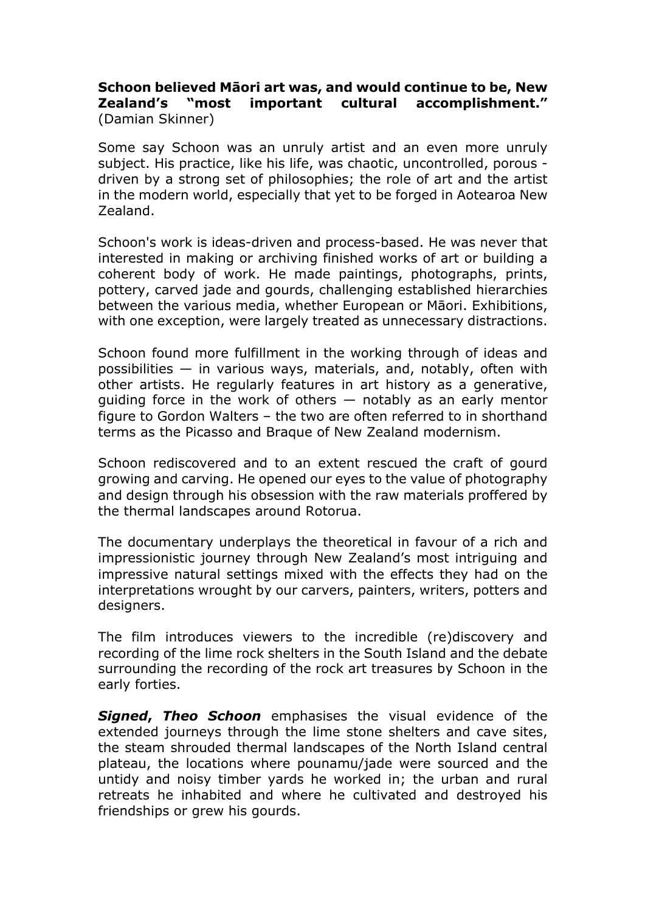#### **Schoon believed Māori art was, and would continue to be, New Zealand's "most important cultural accomplishment."**  (Damian Skinner)

Some say Schoon was an unruly artist and an even more unruly subject. His practice, like his life, was chaotic, uncontrolled, porous driven by a strong set of philosophies; the role of art and the artist in the modern world, especially that yet to be forged in Aotearoa New Zealand.

Schoon's work is ideas-driven and process-based. He was never that interested in making or archiving finished works of art or building a coherent body of work. He made paintings, photographs, prints, pottery, carved jade and gourds, challenging established hierarchies between the various media, whether European or Māori. Exhibitions, with one exception, were largely treated as unnecessary distractions.

Schoon found more fulfillment in the working through of ideas and possibilities  $-$  in various ways, materials, and, notably, often with other artists. He regularly features in art history as a generative, guiding force in the work of others — notably as an early mentor figure to Gordon Walters – the two are often referred to in shorthand terms as the Picasso and Braque of New Zealand modernism.

Schoon rediscovered and to an extent rescued the craft of gourd growing and carving. He opened our eyes to the value of photography and design through his obsession with the raw materials proffered by the thermal landscapes around Rotorua.

The documentary underplays the theoretical in favour of a rich and impressionistic journey through New Zealand's most intriguing and impressive natural settings mixed with the effects they had on the interpretations wrought by our carvers, painters, writers, potters and designers.

The film introduces viewers to the incredible (re)discovery and recording of the lime rock shelters in the South Island and the debate surrounding the recording of the rock art treasures by Schoon in the early forties.

*Signed***,** *Theo Schoon* emphasises the visual evidence of the extended journeys through the lime stone shelters and cave sites, the steam shrouded thermal landscapes of the North Island central plateau, the locations where pounamu/jade were sourced and the untidy and noisy timber yards he worked in; the urban and rural retreats he inhabited and where he cultivated and destroyed his friendships or grew his gourds.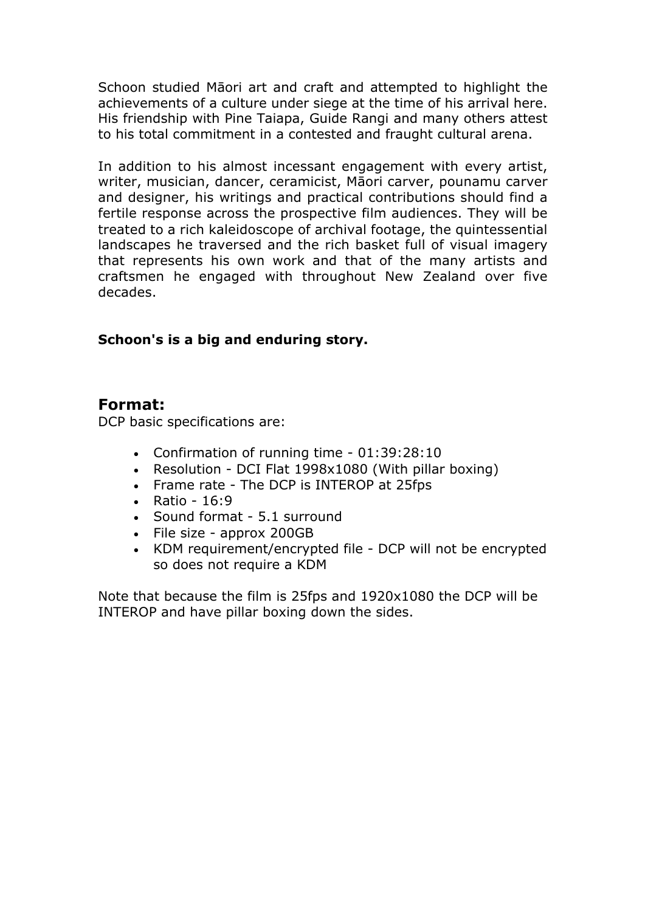Schoon studied Māori art and craft and attempted to highlight the achievements of a culture under siege at the time of his arrival here. His friendship with Pine Taiapa, Guide Rangi and many others attest to his total commitment in a contested and fraught cultural arena.

In addition to his almost incessant engagement with every artist, writer, musician, dancer, ceramicist, Māori carver, pounamu carver and designer, his writings and practical contributions should find a fertile response across the prospective film audiences. They will be treated to a rich kaleidoscope of archival footage, the quintessential landscapes he traversed and the rich basket full of visual imagery that represents his own work and that of the many artists and craftsmen he engaged with throughout New Zealand over five decades.

#### **Schoon's is a big and enduring story.**

#### **Format:**

DCP basic specifications are:

- Confirmation of running time 01:39:28:10
- Resolution DCI Flat 1998x1080 (With pillar boxing)
- Frame rate The DCP is INTEROP at 25fps
- Ratio 16:9
- Sound format 5.1 surround
- File size approx 200GB
- KDM requirement/encrypted file DCP will not be encrypted so does not require a KDM

Note that because the film is 25fps and 1920x1080 the DCP will be INTEROP and have pillar boxing down the sides.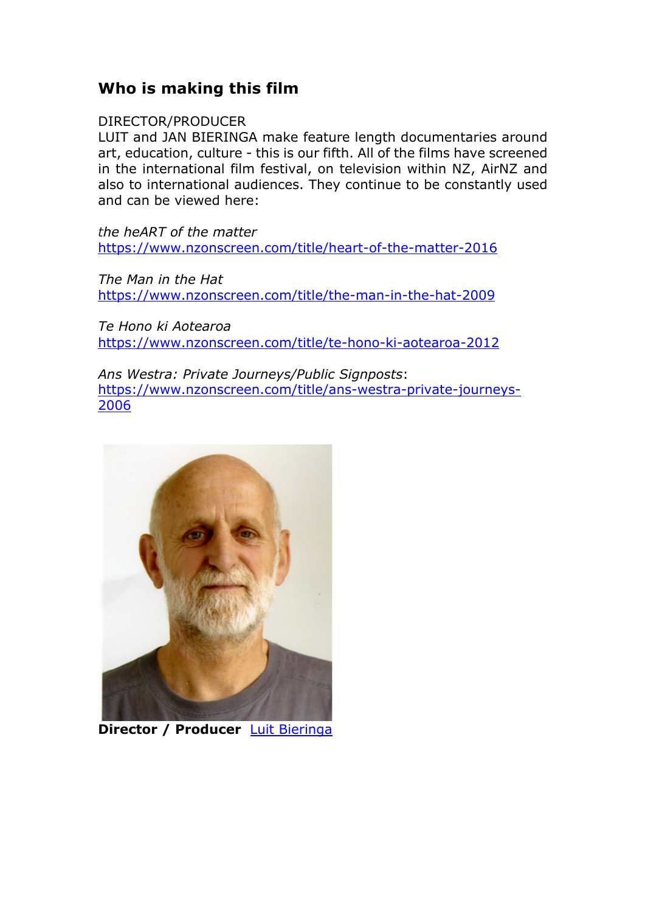## **Who is making this film**

#### DIRECTOR/PRODUCER

LUIT and JAN BIERINGA make feature length documentaries around art, education, culture - this is our fifth. All of the films have screened in the international film festival, on television within NZ, AirNZ and also to international audiences. They continue to be constantly used and can be viewed here:

*the heART of the matter* https://www.nzonscreen.com/title/heart-of-the-matter-2016

*The Man in the Hat* https://www.nzonscreen.com/title/the-man-in-the-hat-2009

*Te Hono ki Aotearoa* https://www.nzonscreen.com/title/te-hono-ki-aotearoa-2012

*Ans Westra: Private Journeys/Public Signposts*: https://www.nzonscreen.com/title/ans-westra-private-journeys-2006



**Director / Producer** Luit Bieringa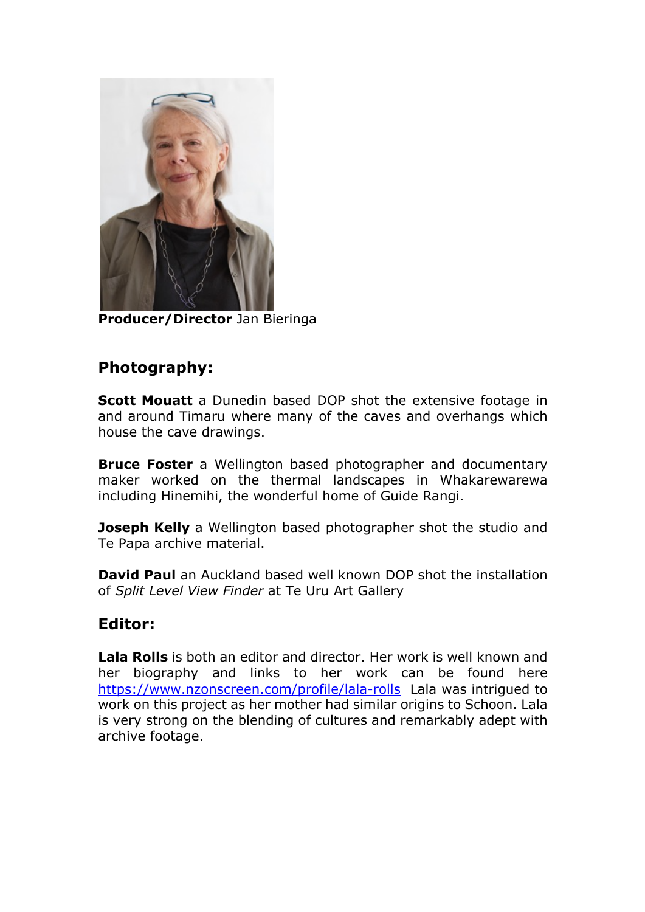

**Producer/Director** Jan Bieringa

## **Photography:**

**Scott Mouatt** a Dunedin based DOP shot the extensive footage in and around Timaru where many of the caves and overhangs which house the cave drawings.

**Bruce Foster** a Wellington based photographer and documentary maker worked on the thermal landscapes in Whakarewarewa including Hinemihi, the wonderful home of Guide Rangi.

**Joseph Kelly** a Wellington based photographer shot the studio and Te Papa archive material.

**David Paul** an Auckland based well known DOP shot the installation of *Split Level View Finder* at Te Uru Art Gallery

## **Editor:**

**Lala Rolls** is both an editor and director. Her work is well known and her biography and links to her work can be found here https://www.nzonscreen.com/profile/lala-rolls Lala was intrigued to work on this project as her mother had similar origins to Schoon. Lala is very strong on the blending of cultures and remarkably adept with archive footage.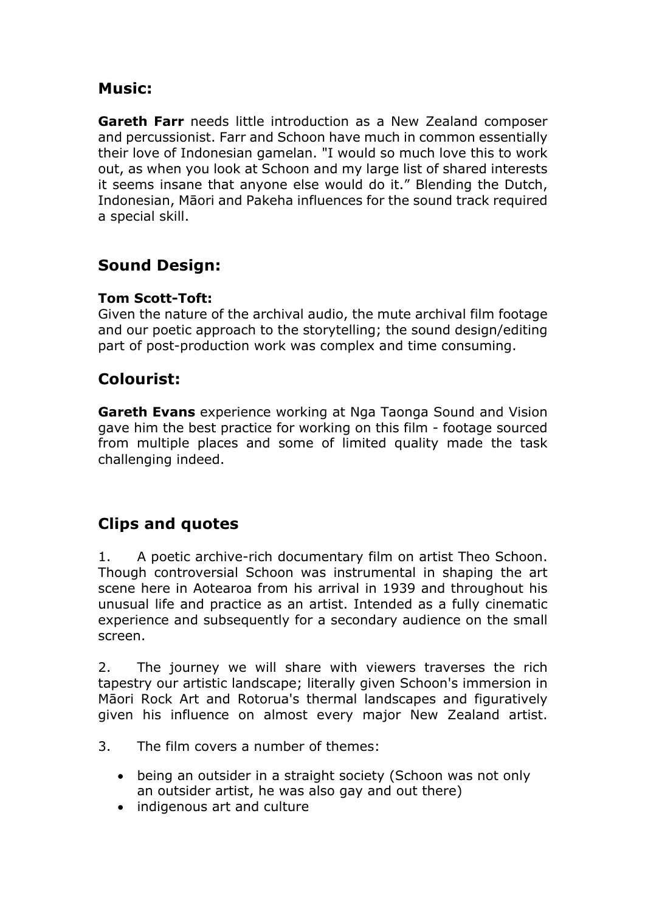## **Music:**

**Gareth Farr** needs little introduction as a New Zealand composer and percussionist. Farr and Schoon have much in common essentially their love of Indonesian gamelan. "I would so much love this to work out, as when you look at Schoon and my large list of shared interests it seems insane that anyone else would do it." Blending the Dutch, Indonesian, Māori and Pakeha influences for the sound track required a special skill.

# **Sound Design:**

## **Tom Scott-Toft:**

Given the nature of the archival audio, the mute archival film footage and our poetic approach to the storytelling; the sound design/editing part of post-production work was complex and time consuming.

## **Colourist:**

**Gareth Evans** experience working at Nga Taonga Sound and Vision gave him the best practice for working on this film - footage sourced from multiple places and some of limited quality made the task challenging indeed.

# **Clips and quotes**

1. A poetic archive-rich documentary film on artist Theo Schoon. Though controversial Schoon was instrumental in shaping the art scene here in Aotearoa from his arrival in 1939 and throughout his unusual life and practice as an artist. Intended as a fully cinematic experience and subsequently for a secondary audience on the small screen.

2. The journey we will share with viewers traverses the rich tapestry our artistic landscape; literally given Schoon's immersion in Māori Rock Art and Rotorua's thermal landscapes and figuratively given his influence on almost every major New Zealand artist.

- 3. The film covers a number of themes:
	- being an outsider in a straight society (Schoon was not only an outsider artist, he was also gay and out there)
	- indigenous art and culture